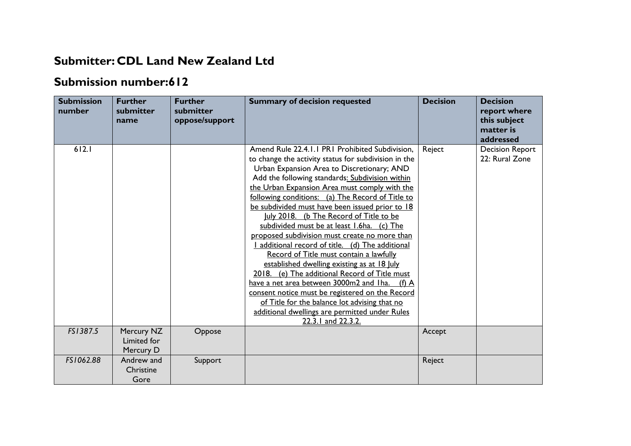## **Submitter: CDL Land New Zealand Ltd**

## **Submission number:612**

| <b>Submission</b><br>number | <b>Further</b><br>submitter<br>name    | <b>Further</b><br>submitter<br>oppose/support | <b>Summary of decision requested</b>                                                                                                                                                                                                                                                                                                                                                                                                                                                                                                                                                                                                                                                                                                                                                                                                                                                                                                 | <b>Decision</b> | <b>Decision</b><br>report where<br>this subject<br>matter is<br>addressed |
|-----------------------------|----------------------------------------|-----------------------------------------------|--------------------------------------------------------------------------------------------------------------------------------------------------------------------------------------------------------------------------------------------------------------------------------------------------------------------------------------------------------------------------------------------------------------------------------------------------------------------------------------------------------------------------------------------------------------------------------------------------------------------------------------------------------------------------------------------------------------------------------------------------------------------------------------------------------------------------------------------------------------------------------------------------------------------------------------|-----------------|---------------------------------------------------------------------------|
| 612.1                       |                                        |                                               | Amend Rule 22.4.1.1 PR1 Prohibited Subdivision,<br>to change the activity status for subdivision in the<br>Urban Expansion Area to Discretionary; AND<br>Add the following standards: Subdivision within<br>the Urban Expansion Area must comply with the<br>following conditions: (a) The Record of Title to<br>be subdivided must have been issued prior to 18<br>July 2018. (b The Record of Title to be<br>subdivided must be at least 1.6ha. (c) The<br>proposed subdivision must create no more than<br>additional record of title. (d) The additional<br>Record of Title must contain a lawfully<br>established dwelling existing as at 18 July<br>2018. (e) The additional Record of Title must<br>have a net area between 3000m2 and Iha. (f) A<br>consent notice must be registered on the Record<br>of Title for the balance lot advising that no<br>additional dwellings are permitted under Rules<br>22.3.1 and 22.3.2. | Reject          | <b>Decision Report</b><br>22: Rural Zone                                  |
| FS1387.5                    | Mercury NZ<br>Limited for<br>Mercury D | Oppose                                        |                                                                                                                                                                                                                                                                                                                                                                                                                                                                                                                                                                                                                                                                                                                                                                                                                                                                                                                                      | Accept          |                                                                           |
| FS1062.88                   | Andrew and<br>Christine<br>Gore        | Support                                       |                                                                                                                                                                                                                                                                                                                                                                                                                                                                                                                                                                                                                                                                                                                                                                                                                                                                                                                                      | Reject          |                                                                           |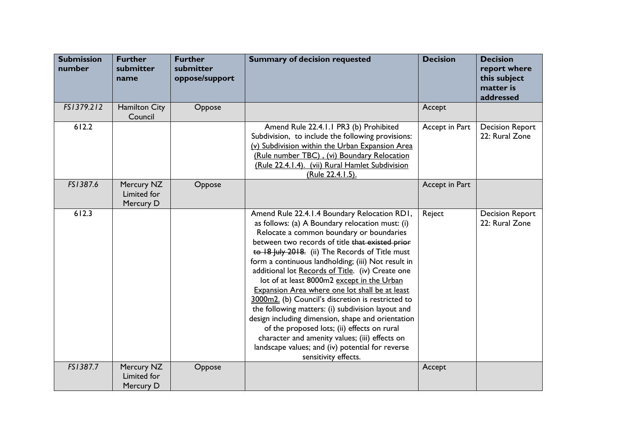| <b>Submission</b><br>number | <b>Further</b><br>submitter<br>name    | <b>Further</b><br>submitter<br>oppose/support | <b>Summary of decision requested</b>                                                                                                                                                                                                                                                                                                                                                                                                                                                                                                                                                                                                                                                                                                                                                                    | <b>Decision</b> | <b>Decision</b><br>report where<br>this subject<br>matter is<br>addressed |
|-----------------------------|----------------------------------------|-----------------------------------------------|---------------------------------------------------------------------------------------------------------------------------------------------------------------------------------------------------------------------------------------------------------------------------------------------------------------------------------------------------------------------------------------------------------------------------------------------------------------------------------------------------------------------------------------------------------------------------------------------------------------------------------------------------------------------------------------------------------------------------------------------------------------------------------------------------------|-----------------|---------------------------------------------------------------------------|
| FS1379.212                  | Hamilton City<br>Council               | Oppose                                        |                                                                                                                                                                                                                                                                                                                                                                                                                                                                                                                                                                                                                                                                                                                                                                                                         | Accept          |                                                                           |
| 612.2                       |                                        |                                               | Amend Rule 22.4.1.1 PR3 (b) Prohibited<br>Subdivision, to include the following provisions:<br>(v) Subdivision within the Urban Expansion Area<br>(Rule number TBC), (vi) Boundary Relocation<br>(Rule 22.4.1.4). (vii) Rural Hamlet Subdivision<br>(Rule 22.4.1.5).                                                                                                                                                                                                                                                                                                                                                                                                                                                                                                                                    | Accept in Part  | <b>Decision Report</b><br>22: Rural Zone                                  |
| FS1387.6                    | Mercury NZ<br>Limited for<br>Mercury D | Oppose                                        |                                                                                                                                                                                                                                                                                                                                                                                                                                                                                                                                                                                                                                                                                                                                                                                                         | Accept in Part  |                                                                           |
| 612.3                       |                                        |                                               | Amend Rule 22.4.1.4 Boundary Relocation RD1,<br>as follows: (a) A Boundary relocation must: (i)<br>Relocate a common boundary or boundaries<br>between two records of title that existed prior<br>to 18 July 2018. (ii) The Records of Title must<br>form a continuous landholding; (iii) Not result in<br>additional lot Records of Title. (iv) Create one<br>lot of at least 8000m2 except in the Urban<br>Expansion Area where one lot shall be at least<br>3000m2. (b) Council's discretion is restricted to<br>the following matters: (i) subdivision layout and<br>design including dimension, shape and orientation<br>of the proposed lots; (ii) effects on rural<br>character and amenity values; (iii) effects on<br>landscape values; and (iv) potential for reverse<br>sensitivity effects. | Reject          | <b>Decision Report</b><br>22: Rural Zone                                  |
| FS1387.7                    | Mercury NZ<br>Limited for<br>Mercury D | Oppose                                        |                                                                                                                                                                                                                                                                                                                                                                                                                                                                                                                                                                                                                                                                                                                                                                                                         | Accept          |                                                                           |